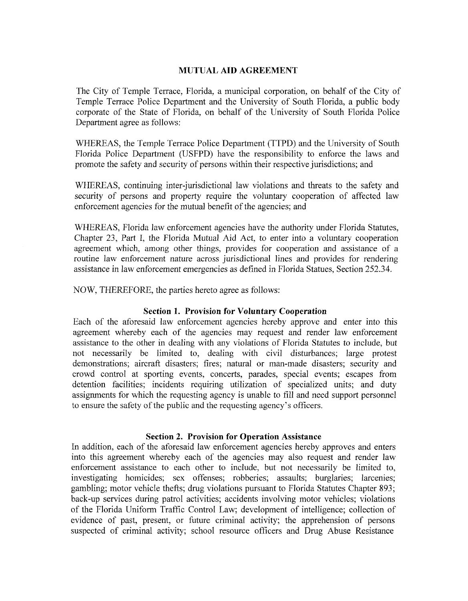### MUTUAL AID AGREEMENT

The City of Temple Terrace, Florida, a municipal corporation, on behalf of the City of Temple Terrace Police Department and the University of South Florida, a public body corporate of the State of Florida, on behalf of the University of South Florida Police Department agree as follows:

WHEREAS, the Temple Terrace Police Department (TTPD) and the University of South Florida Police Department (USFPD) have the responsibility to enforce the laws and promote the safety and security of persons within their respective jurisdictions; and

WHEREAS, continuing inter-jurisdictional law violations and threats to the safety and security of persons and property require the voluntary cooperation of affected law enforcement agencies for the mutual benefit of the agencies; and

WHEREAS, Florida law enforcement agencies have the authority under Florida Statutes, Chapter 23, Part I, the Florida Mutual Aid Act, to enter into a voluntary cooperation agreement which, among other things, provides for cooperation and assistance of a routine law enforcement nature across jurisdictional lines and provides for rendering assistance in law enforcement emergencies as defined in Florida Statues, Section 252. 34.

NOW, THEREFORE, the parties hereto agree as follows:

### Section 1. Provision for Voluntary Cooperation

Each of the aforesaid law enforcement agencies hereby approve and enter into this agreement whereby each of the agencies may request and render law enforcement assistance to the other in dealing with any violations of Florida Statutes to include, but not necessarily be limited to, dealing with civil disturbances; large protest demonstrations; aircraft disasters; fires; natural or man-made disasters; security and crowd control at sporting events, concerts, parades, special events; escapes from detention facilities; incidents requiring utilization of specialized units; and duty assignments for which the requesting agency is unable to fill and need support personnel to ensure the safety of the public and the requesting agency's officers.

### Section 2. Provision for Operation Assistance

In addition, each of the aforesaid law enforcement agencies hereby approves and enters into this agreement whereby each of the agencies may also request and render law enforcement assistance to each other to include, but not necessarily be limited to, investigating hornicides; sex offenses; robberies; assaults; burglaries; larcenies; gambling; motor vehicle thefts; drug violations pursuant to Florida Statutes Chapter 893; back- up services during patrol activities; accidents involving motor vehicles; violations of the Florida Uniform Traffic Control Law; development of intelligence; collection of evidence of past, present, or future criminal activity; the apprehension of persons suspected of criminal activity; school resource officers and Drug Abuse Resistance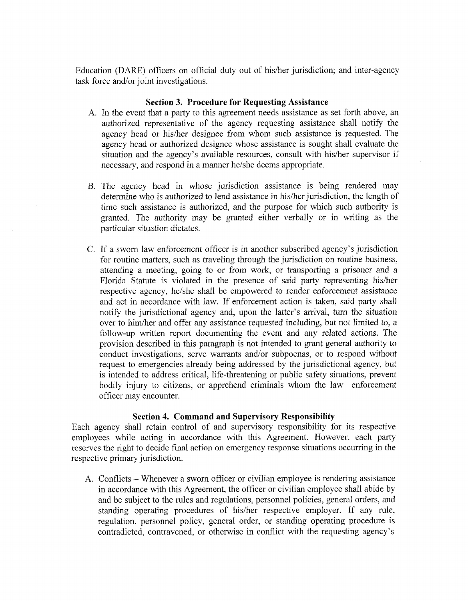Education (DARE) officers on official duty out of his/her jurisdiction; and inter-agency task force and/or joint investigations.

## Section 3. Procedure for Requesting Assistance

- A. In the event that a party to this agreement needs assistance as set forth above, an authorized representative of the agency requesting assistance shall notify the agency head or his/her designee from whom such assistance is requested. The agency head or authorized designee whose assistance is sought shall evaluate the situation and the agency's available resources, consult with his/her supervisor if necessary, and respond in a manner he/she deems appropriate.
- B. The agency head in whose jurisdiction assistance is being rendered may determine who is authorized to lend assistance in his/her jurisdiction, the length of time such assistance is authorized, and the purpose for which such authority is granted. The authority may be granted either verbally or in writing as the particular situation dictates.
- C. If a sworn law enforcement officer is in another subscribed agency's jurisdiction for routine matters, such as traveling through the jurisdiction on routine business, attending a meeting, going to or from work, or transporting a prisoner and a Florida Statute is violated in the presence of said party representing his/her respective agency, he/she shall be empowered to render enforcement assistance and act in accordance with law. If enforcement action is taken, said party shall notify the jurisdictional agency and, upon the latter's arrival, turn the situation over to him/her and offer any assistance requested including, but not limited to, a follow-up written report documenting the event and any related actions. The provision described in this paragraph is not intended to grant general authority to conduct investigations, serve warrants and/or subpoenas, or to respond without request to emergencies already being addressed by the jurisdictional agency, but is intended to address critical, life-threatening or public safety situations, prevent bodily injury to citizens, or apprehend criminals whom the law enforcement officer may encounter.

# Section 4. Command and Supervisory Responsibility

Each agency shall retain control of and supervisory responsibility for its respective employees while acting in accordance with this Agreement. However, each party reserves the right to decide final action on emergency response situations occurring in the respective primary jurisdiction.

A. Conflicts— Whenever <sup>a</sup> sworn officer or civilian employee is rendering assistance in accordance with this Agreement, the officer or civilian employee shall abide by and be subject to the rules and regulations, personnel policies, general orders, and standing operating procedures of his/her respective employer. If any rule, regulation, personnel policy, general order, or standing operating procedure is contradicted, contravened, or otherwise in conflict with the requesting agency's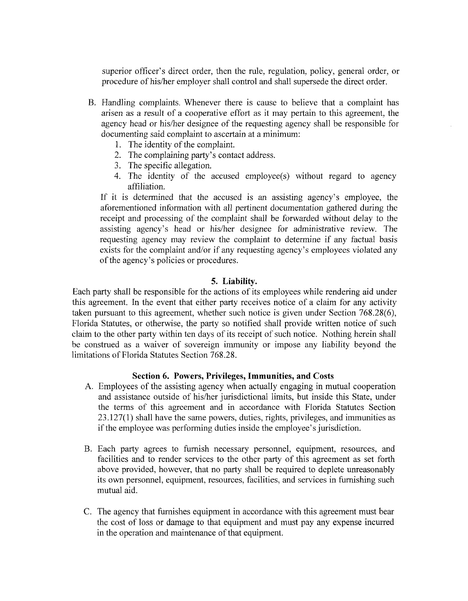superior officer's direct order, then the rule, regulation, policy, general order, or procedure of his/her employer shall control and shall supersede the direct order.

- B. Handling complaints. Whenever there is cause to believe that a complaint has arisen as <sup>a</sup> result of <sup>a</sup> cooperative effort as it may pertain to this agreement, the agency head or his/her designee of the requesting agency shall be responsible for documenting said complaint to ascertain at a minimum:
	- 1. The identity of the complaint.
	- 2. The complaining party's contact address.
	- 3. The specific allegation.
	- 4. The identity of the accused employee(s) without regard to agency affiliation.

If it is determined that the accused is an assisting agency's employee, the aforementioned information with all pertinent documentation gathered during the receipt and processing of the complaint shall be forwarded without delay to the assisting agency's head or his/her designee for administrative review. The requesting agency may review the complaint to determine if any factual basis exists for the complaint and/or if any requesting agency's employees violated any of the agency's policies or procedures.

### 5. Liability.

Each party shall be responsible for the actions of its employees while rendering aid under this agreement. In the event that either party receives notice of a claim for any activity taken pursuant to this agreement, whether such notice is given under Section  $768.28(6)$ , Florida Statutes, or otherwise, the party so notified shall provide written notice of such claim to the other party within ten days of its receipt of such notice. Nothing herein shall be construed as a waiver of sovereign immunity or impose any liability beyond the limitations of Florida Statutes Section 768.28.

#### Section 6. Powers, Privileges, Immunities, and Costs

- A. Employees of the assisting agency when actually engaging in mutual cooperation and assistance outside of his/her jurisdictional limits, but inside this State, under the terms of this agreement and in accordance with Florida Statutes Section 23. 127( 1) shall have the same powers, duties, rights, privileges, and innmunities as if the employee was performing duties inside the employee's jurisdiction.
- B. Each party agrees to furnish necessary personnel, equipment, resources, and facilities and to render services to the other party of this agreement as set forth above provided, however, that no party shall be required to depiete unreasonably its own personnel, equipment, resources, facilities, and services in furnishing such mutual aid.
- C. The agency that furnishes equipment in accordance with this agreement must bear the cost of loss or damage to that equipment and must pay any expense incurred in the operation and maintenance of that equipment.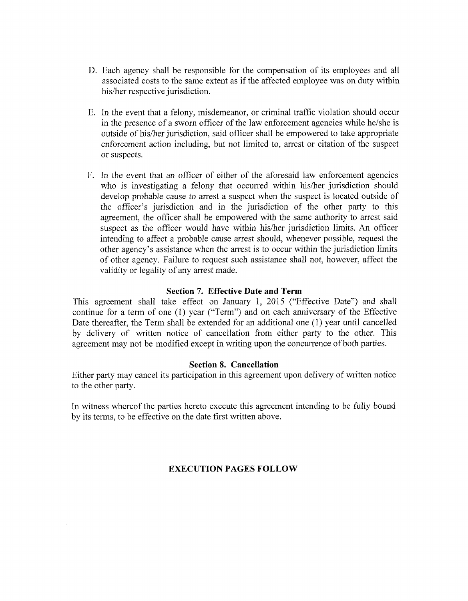- D. Each agency shall be responsible for the compensation of its employees and all associated costs to the same extent as ifthe affected employee was on duty within his/her respective jurisdiction.
- E. In the event that a felony, misdemeanor, or criminal traffic violation should occur in the presence of a sworn officer of the law enforcement agencies while he/she is outside of his/her jurisdiction, said officer shall be empowered to take appropriate enforcement action including, but not limited to, arrest or citation of the suspect or suspects.
- F. In the event that an officer of either of the aforesaid law enforcement agencies who is investigating a felony that occurred within his/her jurisdiction should develop probable cause to arrest a suspect when the suspect is located outside of the officer's jurisdiction and in the jurisdiction of the other party to this agreement, the officer shall be empowered with the same authority to arrest said suspect as the officer would have within his/her jurisdiction limits. An officer intending to affect a probable cause arrest should, whenever possible, request the other agency's assistance when the arrest is to occur within the jurisdiction limits of other agency. Failure to request such assistance shall not, however, affect the validity or legality of any arrest made.

## Section 7. Effective Date and Term

This agreement shall take effect on January 1, 2015 ("Effective Date") and shall continue for a term of one  $(1)$  year ("Term") and on each anniversary of the Effective Date thereafter, the Term shall be extended for an additional one (1) year until cancelled by delivery of written notice of cancellation from either party to the other. This agreement may not be modified except in writing upon the concurrence of both parties.

# Section 8. Cancellation

Either party may cancel its participation in this agreement upon delivery of written notice to the other party.

In witness whereof the parties hereto execute this agreement intending to be fully bound by its terms, to be effective on the date first written above.

# EXECUTION PAGES FOLLOW